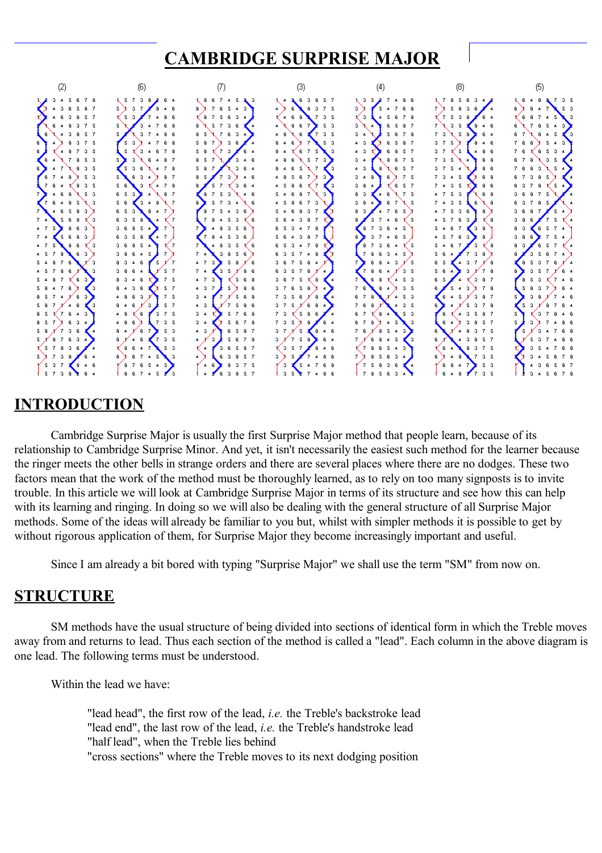

# **INTRODUCTION**

Cambridge Surprise Major is usually the first Surprise Major method that people learn, because of its relationship to Cambridge Surprise Minor. And yet, it isn't necessarily the easiest such method for the learner because the ringer meets the other bells in strange orders and there are several places where there are no dodges. These two factors mean that the work of the method must be thoroughly learned, as to rely on too many signposts is to invite trouble. In this article we will look at Cambridge Surprise Major in terms of its structure and see how this can help with its learning and ringing. In doing so we will also be dealing with the general structure of all Surprise Major methods. Some of the ideas will already be familiar to you but, whilst with simpler methods it is possible to get by without rigorous application of them, for Surprise Major they become increasingly important and useful.

Since I am already a bit bored with typing "Surprise Major" we shall use the term "SM" from now on.

## **STRUCTURE**

SM methods have the usual structure of being divided into sections of identical form in which the Treble moves away from and returns to lead. Thus each section of the method is called a "lead". Each column in the above diagram is one lead. The following terms must be understood.

Within the lead we have:

"lead head", the first row of the lead, *i.e.* the Treble's backstroke lead "lead end", the last row of the lead, *i.e.* the Treble's handstroke lead "half lead", when the Treble lies behind "cross sections" where the Treble moves to its next dodging position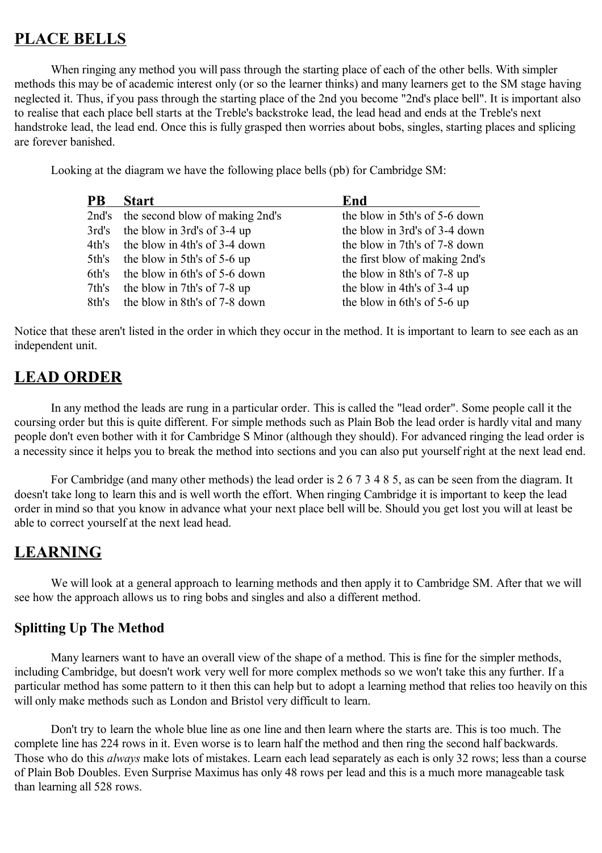# **PLACE BELLS**

When ringing any method you will pass through the starting place of each of the other bells. With simpler methods this may be of academic interest only (or so the learner thinks) and many learners get to the SM stage having neglected it. Thus, if you pass through the starting place of the 2nd you become "2nd's place bell". It is important also to realise that each place bell starts at the Treble's backstroke lead, the lead head and ends at the Treble's next handstroke lead, the lead end. Once this is fully grasped then worries about bobs, singles, starting places and splicing are forever banished.

Looking at the diagram we have the following place bells (pb) for Cambridge SM:

| <b>PB</b> | <b>Start</b>                          | End                            |
|-----------|---------------------------------------|--------------------------------|
|           | 2nd's the second blow of making 2nd's | the blow in 5th's of 5-6 down  |
| 3rd's     | the blow in 3rd's of 3-4 up           | the blow in 3rd's of 3-4 down  |
|           | 4th's the blow in 4th's of 3-4 down   | the blow in 7th's of 7-8 down  |
| 5th's     | the blow in 5th's of 5-6 up           | the first blow of making 2nd's |
| 6th's     | the blow in 6th's of 5-6 down         | the blow in 8th's of 7-8 up    |
| 7th's     | the blow in 7th's of 7-8 up           | the blow in 4th's of 3-4 up    |
| 8th's     | the blow in 8th's of 7-8 down         | the blow in 6th's of 5-6 up    |

Notice that these aren't listed in the order in which they occur in the method. It is important to learn to see each as an independent unit.

## **LEAD ORDER**

In any method the leads are rung in a particular order. This is called the "lead order". Some people call it the coursing order but this is quite different. For simple methods such as Plain Bob the lead order is hardly vital and many people don't even bother with it for Cambridge S Minor (although they should). For advanced ringing the lead order is a necessity since it helps you to break the method into sections and you can also put yourself right at the next lead end.

For Cambridge (and many other methods) the lead order is 2 6 7 3 4 8 5, as can be seen from the diagram. It doesn't take long to learn this and is well worth the effort. When ringing Cambridge it is important to keep the lead order in mind so that you know in advance what your next place bell will be. Should you get lost you will at least be able to correct yourself at the next lead head.

## **LEARNING**

We will look at a general approach to learning methods and then apply it to Cambridge SM. After that we will see how the approach allows us to ring bobs and singles and also a different method.

### **Splitting Up The Method**

Many learners want to have an overall view of the shape of a method. This is fine for the simpler methods, including Cambridge, but doesn't work very well for more complex methods so we won't take this any further. If a particular method has some pattern to it then this can help but to adopt a learning method that relies too heavily on this will only make methods such as London and Bristol very difficult to learn.

Don't try to learn the whole blue line as one line and then learn where the starts are. This is too much. The complete line has 224 rows in it. Even worse is to learn half the method and then ring the second half backwards. Those who do this *always* make lots of mistakes. Learn each lead separately as each is only 32 rows; less than a course of Plain Bob Doubles. Even Surprise Maximus has only 48 rows per lead and this is a much more manageable task than learning all 528 rows.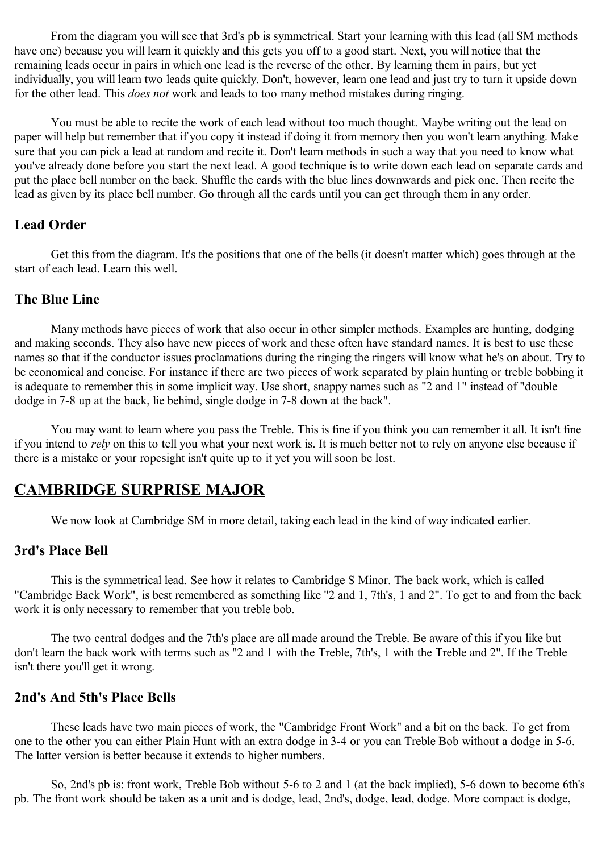From the diagram you will see that 3rd's pb is symmetrical. Start your learning with this lead (all SM methods have one) because you will learn it quickly and this gets you off to a good start. Next, you will notice that the remaining leads occur in pairs in which one lead is the reverse of the other. By learning them in pairs, but yet individually, you will learn two leads quite quickly. Don't, however, learn one lead and just try to turn it upside down for the other lead. This *does not* work and leads to too many method mistakes during ringing.

You must be able to recite the work of each lead without too much thought. Maybe writing out the lead on paper will help but remember that if you copy it instead if doing it from memory then you won't learn anything. Make sure that you can pick a lead at random and recite it. Don't learn methods in such a way that you need to know what you've already done before you start the next lead. A good technique is to write down each lead on separate cards and put the place bell number on the back. Shuffle the cards with the blue lines downwards and pick one. Then recite the lead as given by its place bell number. Go through all the cards until you can get through them in any order.

### **Lead Order**

Get this from the diagram. It's the positions that one of the bells (it doesn't matter which) goes through at the start of each lead. Learn this well.

### **The Blue Line**

Many methods have pieces of work that also occur in other simpler methods. Examples are hunting, dodging and making seconds. They also have new pieces of work and these often have standard names. It is best to use these names so that if the conductor issues proclamations during the ringing the ringers will know what he's on about. Try to be economical and concise. For instance if there are two pieces of work separated by plain hunting or treble bobbing it is adequate to remember this in some implicit way. Use short, snappy names such as "2 and 1" instead of "double dodge in 7-8 up at the back, lie behind, single dodge in 7-8 down at the back".

You may want to learn where you pass the Treble. This is fine if you think you can remember it all. It isn't fine if you intend to *rely* on this to tell you what your next work is. It is much better not to rely on anyone else because if there is a mistake or your ropesight isn't quite up to it yet you will soon be lost.

## **CAMBRIDGE SURPRISE MAJOR**

We now look at Cambridge SM in more detail, taking each lead in the kind of way indicated earlier.

## **3rd's Place Bell**

This is the symmetrical lead. See how it relates to Cambridge S Minor. The back work, which is called "Cambridge Back Work", is best remembered as something like "2 and 1, 7th's, 1 and 2". To get to and from the back work it is only necessary to remember that you treble bob.

The two central dodges and the 7th's place are all made around the Treble. Be aware of this if you like but don't learn the back work with terms such as "2 and 1 with the Treble, 7th's, 1 with the Treble and 2". If the Treble isn't there you'll get it wrong.

### **2nd's And 5th's Place Bells**

These leads have two main pieces of work, the "Cambridge Front Work" and a bit on the back. To get from one to the other you can either Plain Hunt with an extra dodge in 3-4 or you can Treble Bob without a dodge in 5-6. The latter version is better because it extends to higher numbers.

So, 2nd's pb is: front work, Treble Bob without 5-6 to 2 and 1 (at the back implied), 5-6 down to become 6th's pb. The front work should be taken as a unit and is dodge, lead, 2nd's, dodge, lead, dodge. More compact is dodge,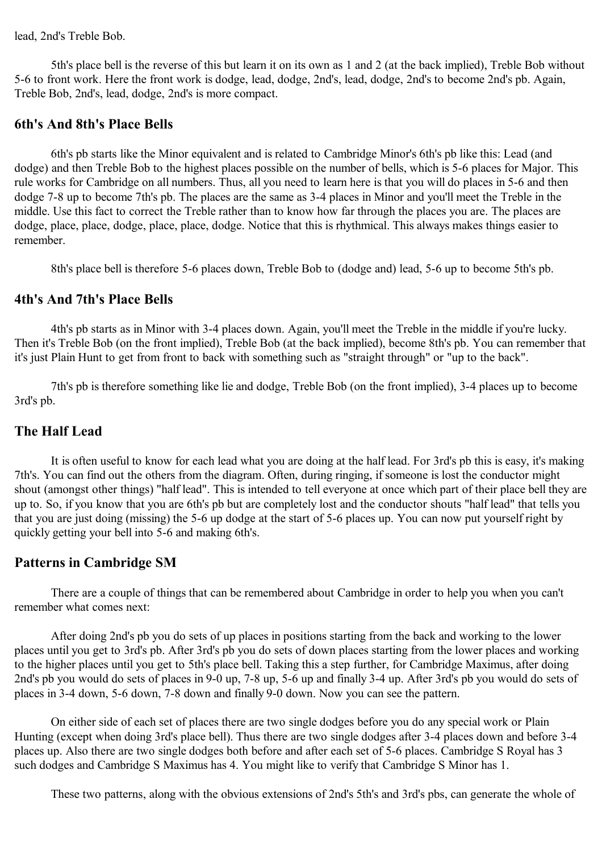lead, 2nd's Treble Bob.

5th's place bell is the reverse of this but learn it on its own as 1 and 2 (at the back implied), Treble Bob without 5-6 to front work. Here the front work is dodge, lead, dodge, 2nd's, lead, dodge, 2nd's to become 2nd's pb. Again, Treble Bob, 2nd's, lead, dodge, 2nd's is more compact.

### **6th's And 8th's Place Bells**

6th's pb starts like the Minor equivalent and is related to Cambridge Minor's 6th's pb like this: Lead (and dodge) and then Treble Bob to the highest places possible on the number of bells, which is 5-6 places for Major. This rule works for Cambridge on all numbers. Thus, all you need to learn here is that you will do places in 5-6 and then dodge 7-8 up to become 7th's pb. The places are the same as 3-4 places in Minor and you'll meet the Treble in the middle. Use this fact to correct the Treble rather than to know how far through the places you are. The places are dodge, place, place, dodge, place, place, dodge. Notice that this is rhythmical. This always makes things easier to remember.

8th's place bell is therefore 5-6 places down, Treble Bob to (dodge and) lead, 5-6 up to become 5th's pb.

#### **4th's And 7th's Place Bells**

4th's pb starts as in Minor with 3-4 places down. Again, you'll meet the Treble in the middle if you're lucky. Then it's Treble Bob (on the front implied), Treble Bob (at the back implied), become 8th's pb. You can remember that it's just Plain Hunt to get from front to back with something such as "straight through" or "up to the back".

7th's pb is therefore something like lie and dodge, Treble Bob (on the front implied), 3-4 places up to become 3rd's pb.

#### **The Half Lead**

It is often useful to know for each lead what you are doing at the half lead. For 3rd's pb this is easy, it's making 7th's. You can find out the others from the diagram. Often, during ringing, if someone is lost the conductor might shout (amongst other things) "half lead". This is intended to tell everyone at once which part of their place bell they are up to. So, if you know that you are 6th's pb but are completely lost and the conductor shouts "half lead" that tells you that you are just doing (missing) the 5-6 up dodge at the start of 5-6 places up. You can now put yourself right by quickly getting your bell into 5-6 and making 6th's.

#### **Patterns in Cambridge SM**

There are a couple of things that can be remembered about Cambridge in order to help you when you can't remember what comes next:

After doing 2nd's pb you do sets of up places in positions starting from the back and working to the lower places until you get to 3rd's pb. After 3rd's pb you do sets of down places starting from the lower places and working to the higher places until you get to 5th's place bell. Taking this a step further, for Cambridge Maximus, after doing 2nd's pb you would do sets of places in 9-0 up, 7-8 up, 5-6 up and finally 3-4 up. After 3rd's pb you would do sets of places in 3-4 down, 5-6 down, 7-8 down and finally 9-0 down. Now you can see the pattern.

On either side of each set of places there are two single dodges before you do any special work or Plain Hunting (except when doing 3rd's place bell). Thus there are two single dodges after 3-4 places down and before 3-4 places up. Also there are two single dodges both before and after each set of 5-6 places. Cambridge S Royal has 3 such dodges and Cambridge S Maximus has 4. You might like to verify that Cambridge S Minor has 1.

These two patterns, along with the obvious extensions of 2nd's 5th's and 3rd's pbs, can generate the whole of